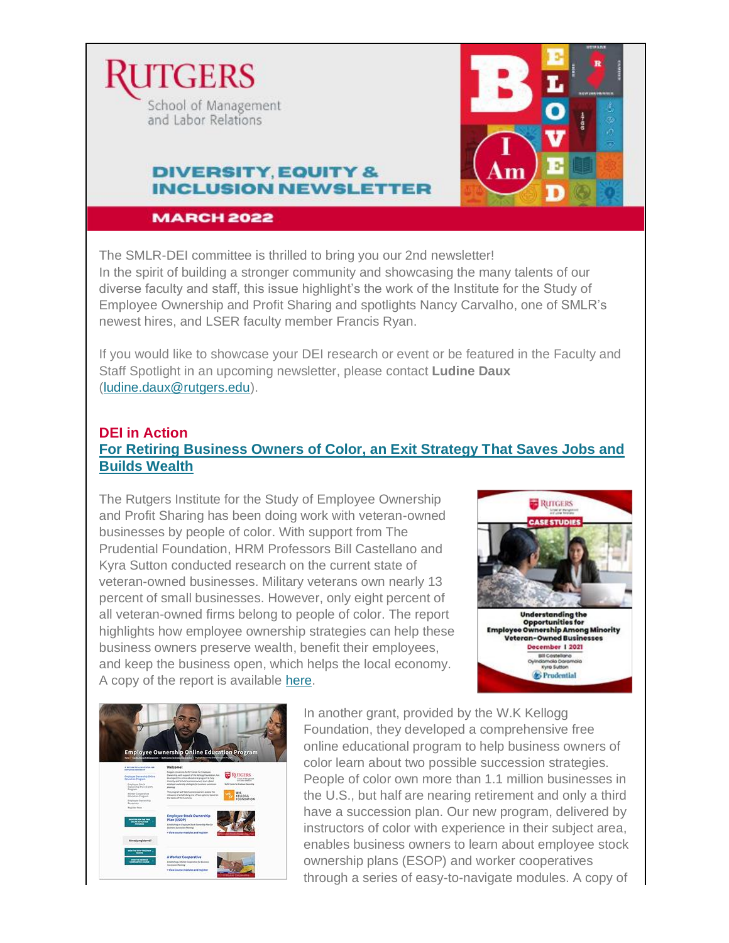



# **DIVERSITY EQUITY & INCLUSION NEWSLETTER**

**MARCH 2022** 

The SMLR-DEI committee is thrilled to bring you our 2nd newsletter! In the spirit of building a stronger community and showcasing the many talents of our diverse faculty and staff, this issue highlight's the work of the Institute for the Study of Employee Ownership and Profit Sharing and spotlights Nancy Carvalho, one of SMLR's newest hires, and LSER faculty member Francis Ryan.

If you would like to showcase your DEI research or event or be featured in the Faculty and Staff Spotlight in an upcoming newsletter, please contact **Ludine Daux** [\(ludine.daux@rutgers.edu\)](mailto:ludine.daux@rutgers.edu).

## **DEI in Action [For Retiring Business Owners of Color, an Exit Strategy That Saves Jobs and](https://smlr.rutgers.edu/for-retiring-business-owners-of-color-exit-strategy-saves-jobs-and-builds-wealth)  [Builds Wealth](https://smlr.rutgers.edu/for-retiring-business-owners-of-color-exit-strategy-saves-jobs-and-builds-wealth)**

The Rutgers Institute for the Study of Employee Ownership and Profit Sharing has been doing work with veteran-owned businesses by people of color. With support from The Prudential Foundation, HRM Professors Bill Castellano and Kyra Sutton conducted research on the current state of veteran-owned businesses. Military veterans own nearly 13 percent of small businesses. However, only eight percent of all veteran-owned firms belong to people of color. The report highlights how employee ownership strategies can help these business owners preserve wealth, benefit their employees, and keep the business open, which helps the local economy. A copy of the report is available [here.](https://smlr.rutgers.edu/sites/default/files/Documents/Centers/NJ-NY_CEO/Prudential-Understanding-Opportunities-Employee-Ownership.pdf)





In another grant, provided by the W.K Kellogg Foundation, they developed a comprehensive free online educational program to help business owners of color learn about two possible succession strategies. People of color own more than 1.1 million businesses in the U.S., but half are nearing retirement and only a third have a succession plan. Our new program, delivered by instructors of color with experience in their subject area, enables business owners to learn about employee stock ownership plans (ESOP) and worker cooperatives through a series of easy-to-navigate modules. A copy of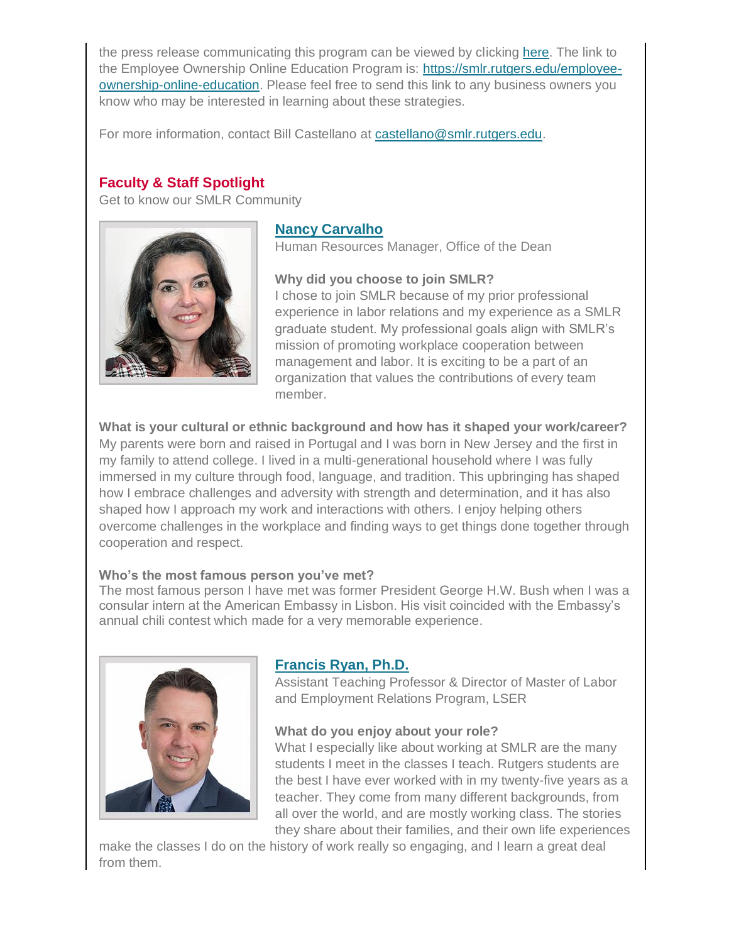the press release communicating this program can be viewed by clicking [here.](https://smlr.rutgers.edu/for-retiring-business-owners-of-color-exit-strategy-saves-jobs-and-builds-wealth) The link to the Employee Ownership Online Education Program is: [https://smlr.rutgers.edu/employee](https://smlr.rutgers.edu/employee-ownership-online-education)[ownership-online-education.](https://smlr.rutgers.edu/employee-ownership-online-education) Please feel free to send this link to any business owners you know who may be interested in learning about these strategies.

For more information, contact Bill Castellano at [castellano@smlr.rutgers.edu.](mailto:castellano@smlr.rutgers.edu)

### **Faculty & Staff Spotlight**

Get to know our SMLR Community



### **[Nancy Carvalho](mailto:ncarvalho@smlr.rutgers.edu)**

Human Resources Manager, Office of the Dean

**Why did you choose to join SMLR?**

I chose to join SMLR because of my prior professional experience in labor relations and my experience as a SMLR graduate student. My professional goals align with SMLR's mission of promoting workplace cooperation between management and labor. It is exciting to be a part of an organization that values the contributions of every team member.

**What is your cultural or ethnic background and how has it shaped your work/career?** My parents were born and raised in Portugal and I was born in New Jersey and the first in my family to attend college. I lived in a multi-generational household where I was fully immersed in my culture through food, language, and tradition. This upbringing has shaped how I embrace challenges and adversity with strength and determination, and it has also shaped how I approach my work and interactions with others. I enjoy helping others overcome challenges in the workplace and finding ways to get things done together through cooperation and respect.

#### **Who's the most famous person you've met?**

The most famous person I have met was former President George H.W. Bush when I was a consular intern at the American Embassy in Lisbon. His visit coincided with the Embassy's annual chili contest which made for a very memorable experience.



## **[Francis Ryan, Ph.D.](mailto:fr156@smlr.rutgers.edu)**

Assistant Teaching Professor & Director of Master of Labor and Employment Relations Program, LSER

#### **What do you enjoy about your role?**

What I especially like about working at SMLR are the many students I meet in the classes I teach. Rutgers students are the best I have ever worked with in my twenty-five years as a teacher. They come from many different backgrounds, from all over the world, and are mostly working class. The stories they share about their families, and their own life experiences

make the classes I do on the history of work really so engaging, and I learn a great deal from them.